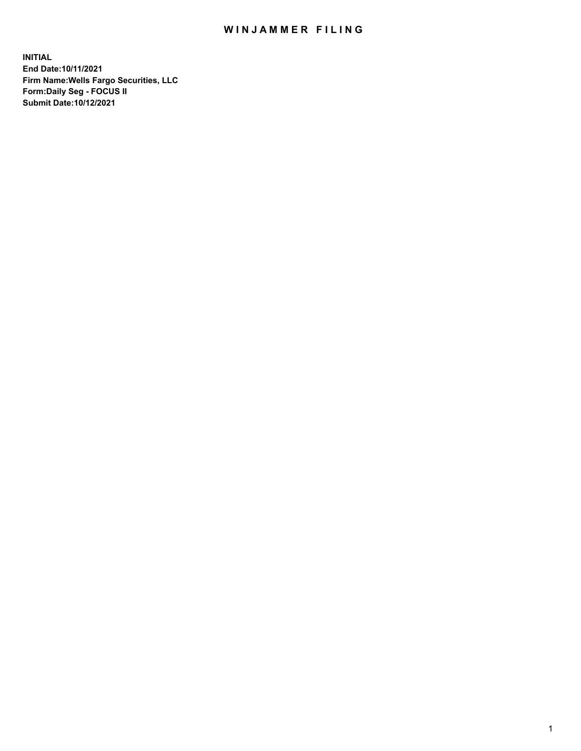## WIN JAMMER FILING

**INITIAL End Date:10/11/2021 Firm Name:Wells Fargo Securities, LLC Form:Daily Seg - FOCUS II Submit Date:10/12/2021**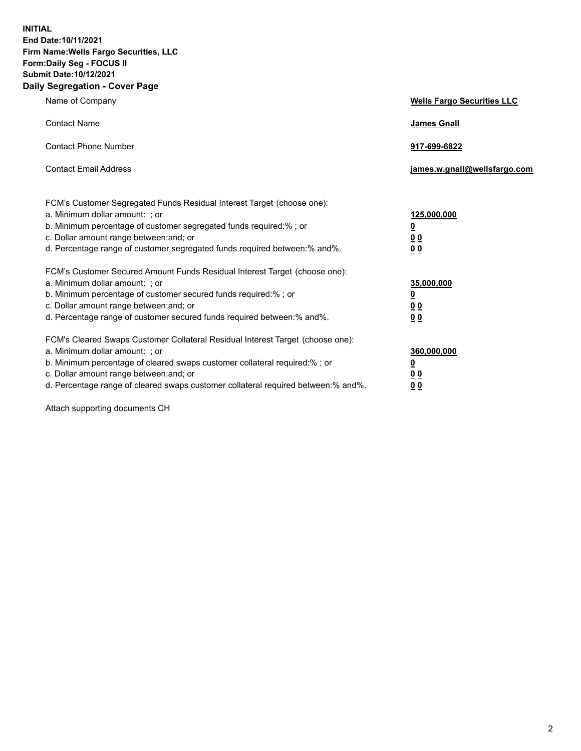**INITIAL End Date:10/11/2021 Firm Name:Wells Fargo Securities, LLC Form:Daily Seg - FOCUS II Submit Date:10/12/2021 Daily Segregation - Cover Page**

| Name of Company                                                                                                                                                                                                                                                                                                                | <b>Wells Fargo Securities LLC</b>                      |
|--------------------------------------------------------------------------------------------------------------------------------------------------------------------------------------------------------------------------------------------------------------------------------------------------------------------------------|--------------------------------------------------------|
| <b>Contact Name</b>                                                                                                                                                                                                                                                                                                            | <b>James Gnall</b>                                     |
| <b>Contact Phone Number</b>                                                                                                                                                                                                                                                                                                    | 917-699-6822                                           |
| <b>Contact Email Address</b>                                                                                                                                                                                                                                                                                                   | james.w.gnall@wellsfargo.com                           |
| FCM's Customer Segregated Funds Residual Interest Target (choose one):<br>a. Minimum dollar amount: ; or<br>b. Minimum percentage of customer segregated funds required:% ; or<br>c. Dollar amount range between: and; or<br>d. Percentage range of customer segregated funds required between: % and %.                       | 125,000,000<br><u>0</u><br><u>00</u><br>0 <sub>0</sub> |
| FCM's Customer Secured Amount Funds Residual Interest Target (choose one):<br>a. Minimum dollar amount: ; or<br>b. Minimum percentage of customer secured funds required:%; or<br>c. Dollar amount range between: and; or<br>d. Percentage range of customer secured funds required between: % and %.                          | 35,000,000<br><u>0</u><br>00<br>0 <sub>0</sub>         |
| FCM's Cleared Swaps Customer Collateral Residual Interest Target (choose one):<br>a. Minimum dollar amount: ; or<br>b. Minimum percentage of cleared swaps customer collateral required:% ; or<br>c. Dollar amount range between: and; or<br>d. Percentage range of cleared swaps customer collateral required between:% and%. | 360,000,000<br><u>0</u><br>0 Q<br>00                   |

Attach supporting documents CH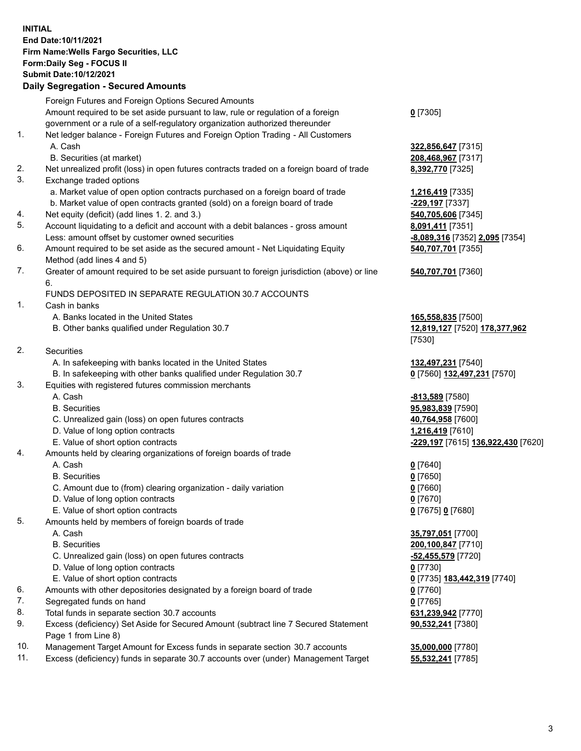## **INITIAL End Date:10/11/2021 Firm Name:Wells Fargo Securities, LLC Form:Daily Seg - FOCUS II Submit Date:10/12/2021**

## **Daily Segregation - Secured Amounts**

|     | Foreign Futures and Foreign Options Secured Amounts                                         |                                    |
|-----|---------------------------------------------------------------------------------------------|------------------------------------|
|     | Amount required to be set aside pursuant to law, rule or regulation of a foreign            | $0$ [7305]                         |
|     | government or a rule of a self-regulatory organization authorized thereunder                |                                    |
| 1.  | Net ledger balance - Foreign Futures and Foreign Option Trading - All Customers             |                                    |
|     | A. Cash                                                                                     | 322,856,647 [7315]                 |
|     | B. Securities (at market)                                                                   | 208,468,967 [7317]                 |
| 2.  | Net unrealized profit (loss) in open futures contracts traded on a foreign board of trade   | 8,392,770 [7325]                   |
| 3.  | Exchange traded options                                                                     |                                    |
|     | a. Market value of open option contracts purchased on a foreign board of trade              | 1,216,419 [7335]                   |
|     | b. Market value of open contracts granted (sold) on a foreign board of trade                | -229,197 [7337]                    |
| 4.  | Net equity (deficit) (add lines 1. 2. and 3.)                                               | 540,705,606 [7345]                 |
| 5.  | Account liquidating to a deficit and account with a debit balances - gross amount           | 8,091,411 [7351]                   |
|     | Less: amount offset by customer owned securities                                            | -8,089,316 [7352] 2,095 [7354]     |
| 6.  | Amount required to be set aside as the secured amount - Net Liquidating Equity              | 540,707,701 [7355]                 |
|     | Method (add lines 4 and 5)                                                                  |                                    |
| 7.  | Greater of amount required to be set aside pursuant to foreign jurisdiction (above) or line | 540,707,701 [7360]                 |
|     | 6.                                                                                          |                                    |
|     | FUNDS DEPOSITED IN SEPARATE REGULATION 30.7 ACCOUNTS                                        |                                    |
| 1.  | Cash in banks                                                                               |                                    |
|     | A. Banks located in the United States                                                       | 165,558,835 [7500]                 |
|     | B. Other banks qualified under Regulation 30.7                                              | 12,819,127 [7520] 178,377,962      |
|     |                                                                                             | [7530]                             |
| 2.  | <b>Securities</b>                                                                           |                                    |
|     | A. In safekeeping with banks located in the United States                                   | 132,497,231 [7540]                 |
|     | B. In safekeeping with other banks qualified under Regulation 30.7                          | 0 [7560] 132,497,231 [7570]        |
| 3.  | Equities with registered futures commission merchants                                       |                                    |
|     | A. Cash                                                                                     | -813,589 [7580]                    |
|     | <b>B.</b> Securities                                                                        | 95,983,839 [7590]                  |
|     | C. Unrealized gain (loss) on open futures contracts                                         | 40,764,958 [7600]                  |
|     | D. Value of long option contracts                                                           | 1,216,419 [7610]                   |
|     | E. Value of short option contracts                                                          | -229,197 [7615] 136,922,430 [7620] |
| 4.  | Amounts held by clearing organizations of foreign boards of trade                           |                                    |
|     | A. Cash                                                                                     | $0$ [7640]                         |
|     | <b>B.</b> Securities                                                                        | $0$ [7650]                         |
|     | C. Amount due to (from) clearing organization - daily variation                             | $0$ [7660]                         |
|     | D. Value of long option contracts                                                           | $0$ [7670]                         |
|     | E. Value of short option contracts                                                          | 0 [7675] 0 [7680]                  |
| 5.  | Amounts held by members of foreign boards of trade                                          |                                    |
|     | A. Cash                                                                                     | 35,797,051 [7700]                  |
|     | <b>B.</b> Securities                                                                        | 200,100,847 [7710]                 |
|     | C. Unrealized gain (loss) on open futures contracts                                         | <u>-52,455,579</u> [7720]          |
|     | D. Value of long option contracts                                                           | $0$ [7730]                         |
|     | E. Value of short option contracts                                                          | 0 [7735] 183,442,319 [7740]        |
| 6.  | Amounts with other depositories designated by a foreign board of trade                      | $0$ [7760]                         |
| 7.  | Segregated funds on hand                                                                    | $0$ [7765]                         |
| 8.  | Total funds in separate section 30.7 accounts                                               | 631,239,942 [7770]                 |
| 9.  | Excess (deficiency) Set Aside for Secured Amount (subtract line 7 Secured Statement         | 90,532,241 [7380]                  |
|     | Page 1 from Line 8)                                                                         |                                    |
| 10. | Management Target Amount for Excess funds in separate section 30.7 accounts                 | 35,000,000 [7780]                  |

11. Excess (deficiency) funds in separate 30.7 accounts over (under) Management Target **55,532,241** [7785]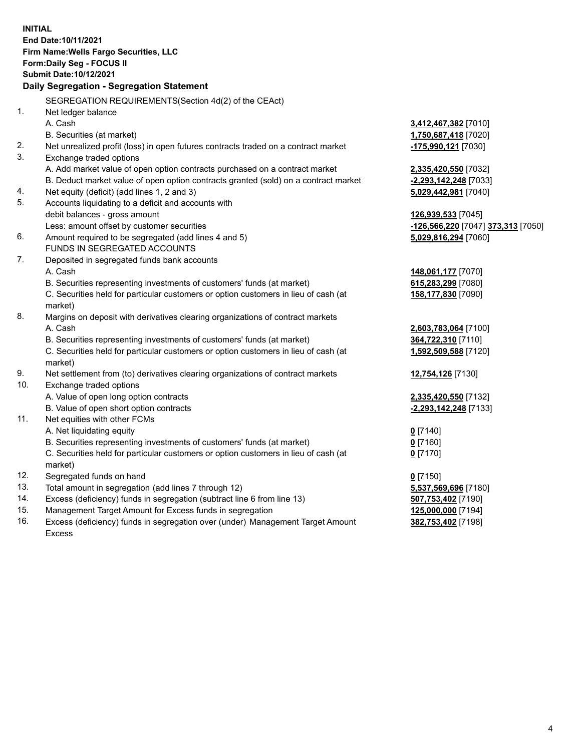**INITIAL End Date:10/11/2021 Firm Name:Wells Fargo Securities, LLC Form:Daily Seg - FOCUS II Submit Date:10/12/2021 Daily Segregation - Segregation Statement** SEGREGATION REQUIREMENTS(Section 4d(2) of the CEAct) 1. Net ledger balance A. Cash **3,412,467,382** [7010] B. Securities (at market) **1,750,687,418** [7020] 2. Net unrealized profit (loss) in open futures contracts traded on a contract market **-175,990,121** [7030] 3. Exchange traded options A. Add market value of open option contracts purchased on a contract market **2,335,420,550** [7032] B. Deduct market value of open option contracts granted (sold) on a contract market **-2,293,142,248** [7033] 4. Net equity (deficit) (add lines 1, 2 and 3) **5,029,442,981** [7040] 5. Accounts liquidating to a deficit and accounts with debit balances - gross amount **126,939,533** [7045] Less: amount offset by customer securities **-126,566,220** [7047] **373,313** [7050] 6. Amount required to be segregated (add lines 4 and 5) **5,029,816,294** [7060] FUNDS IN SEGREGATED ACCOUNTS 7. Deposited in segregated funds bank accounts A. Cash **148,061,177** [7070] B. Securities representing investments of customers' funds (at market) **615,283,299** [7080] C. Securities held for particular customers or option customers in lieu of cash (at market) **158,177,830** [7090] 8. Margins on deposit with derivatives clearing organizations of contract markets A. Cash **2,603,783,064** [7100] B. Securities representing investments of customers' funds (at market) **364,722,310** [7110] C. Securities held for particular customers or option customers in lieu of cash (at market) **1,592,509,588** [7120] 9. Net settlement from (to) derivatives clearing organizations of contract markets **12,754,126** [7130] 10. Exchange traded options A. Value of open long option contracts **2,335,420,550** [7132] B. Value of open short option contracts **-2,293,142,248** [7133] 11. Net equities with other FCMs A. Net liquidating equity **0** [7140] B. Securities representing investments of customers' funds (at market) **0** [7160] C. Securities held for particular customers or option customers in lieu of cash (at market) **0** [7170] 12. Segregated funds on hand **0** [7150] 13. Total amount in segregation (add lines 7 through 12) **5,537,569,696** [7180] 14. Excess (deficiency) funds in segregation (subtract line 6 from line 13) **507,753,402** [7190] 15. Management Target Amount for Excess funds in segregation **125,000,000** [7194]

16. Excess (deficiency) funds in segregation over (under) Management Target Amount Excess

**382,753,402** [7198]